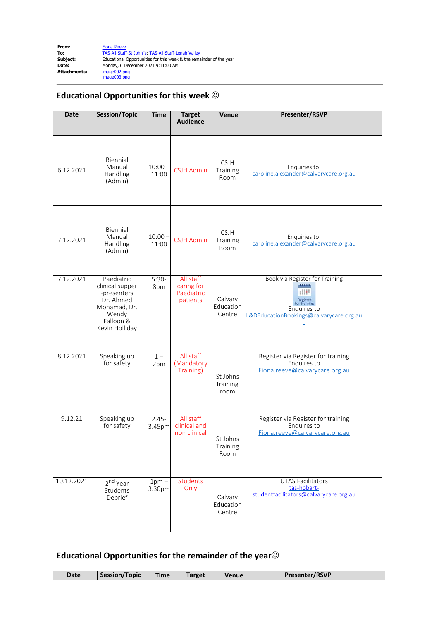

## **Educational Opportunities for this week**  $\odot$

| <b>Date</b> | <b>Session/Topic</b>                                                                                              | <b>Time</b>        | <b>Target</b><br><b>Audience</b>                  | Venue                           | <b>Presenter/RSVP</b>                                                                                                         |
|-------------|-------------------------------------------------------------------------------------------------------------------|--------------------|---------------------------------------------------|---------------------------------|-------------------------------------------------------------------------------------------------------------------------------|
| 6.12.2021   | Biennial<br>Manual<br>Handling<br>(Admin)                                                                         | $10:00 -$<br>11:00 | <b>CSJH Admin</b>                                 | <b>CSJH</b><br>Training<br>Room | Enquiries to:<br>caroline.alexander@calvarycare.org.au                                                                        |
| 7.12.2021   | Biennial<br>Manual<br>Handling<br>(Admin)                                                                         | $10:00 -$<br>11:00 | <b>CSJH Admin</b>                                 | <b>CSJH</b><br>Training<br>Room | Enquiries to:<br>caroline.alexander@calvarycare.org.au                                                                        |
| 7.12.2021   | Paediatric<br>clinical supper<br>-presenters<br>Dr. Ahmed<br>Mohamad, Dr.<br>Wendy<br>Falloon &<br>Kevin Holliday | $5:30-$<br>8pm     | All staff<br>caring for<br>Paediatric<br>patients | Calvary<br>Education<br>Centre  | Book via Register for Training<br>11111<br>Register<br>for training<br>Enquires to<br>L&DEducationBookings@calvarycare.org.au |
| 8.12.2021   | Speaking up<br>for safety                                                                                         | $1 -$<br>2pm       | All staff<br>(Mandatory<br>Training)              | St Johns<br>training<br>room    | Register via Register for training<br>Enquires to<br>Fiona.reeve@calvarycare.org.au                                           |
| 9.12.21     | Speaking up<br>for safety                                                                                         | $2.45 -$<br>3.45pm | All staff<br>clinical and<br>non clinical         | St Johns<br>Training<br>Room    | Register via Register for training<br>Enquires to<br>Fiona.reeve@calvarycare.org.au                                           |
| 10.12.2021  | 2 <sup>nd</sup> Year<br>Students<br>Debrief                                                                       | $1pm -$<br>3.30pm  | Students<br>Only                                  | Calvary<br>Education<br>Centre  | <b>UTAS Facilitators</b><br>tas-hobart-<br>studentfacilitators@calvarycare.org.au                                             |

## Educational Opportunities for the remainder of the year<sup> $\odot$ </sup>

| Date | Session/Topic | <b>Time</b> | <b>Target</b> | <b>Venue</b> | <b>Presenter/RSVP</b> |
|------|---------------|-------------|---------------|--------------|-----------------------|
|      |               |             |               |              |                       |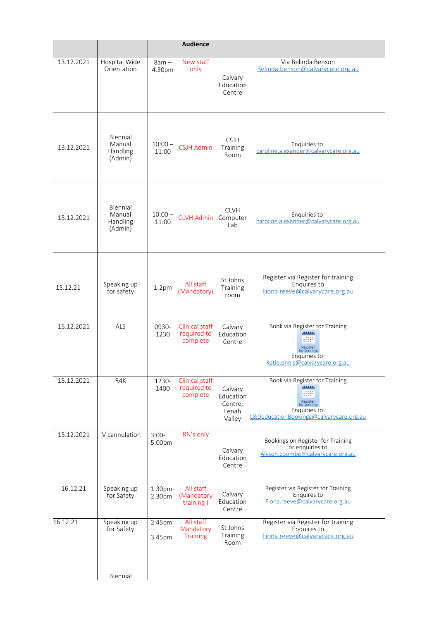|            |                                           |                    | <b>Audience</b>                           |                                                    |                                                                                                                                    |
|------------|-------------------------------------------|--------------------|-------------------------------------------|----------------------------------------------------|------------------------------------------------------------------------------------------------------------------------------------|
| 13.12.2021 | Hospital Wide<br>Orientation              | $8am -$<br>4.30pm  | New staff<br>only                         | Calvary<br>Education<br>Centre                     | Via Belinda Benson<br>Belinda.benson@calvarycare.org.au                                                                            |
| 13.12.2021 | Biennial<br>Manual<br>Handling<br>(Admin) | $10:00 -$<br>11:00 | <b>CSJH Admin</b>                         | <b>CSJH</b><br>Training<br>Room                    | Enquiries to:<br>caroline.alexander@calvarycare.org.au                                                                             |
| 15.12.2021 | Biennial<br>Manual<br>Handling<br>(Admin) | $10:00 -$<br>11:00 | <b>CLVH Admin</b>                         | <b>CLVH</b><br>Computer<br>Lab                     | Enquiries to:<br>caroline.alexander@calvarycare.org.au                                                                             |
| 15.12.21   | Speaking up<br>for safety                 | $1-2pm$            | All staff<br>(Mandatory)                  | St Johns<br>Training<br>room                       | Register via Register for training<br>Enquires to<br>Fiona.reeve@calvarycare.org.au                                                |
| 15.12.2021 | ALS                                       | 0930-<br>1230      | Clinical staff<br>required to<br>complete | Calvary<br>Education<br>Centre                     | Book via Register for Training<br><b>district</b><br>Register<br>for training<br>Enquiries to:<br>Katie.ennis@calvarycare.org.au   |
| 15.12.2021 | R4K                                       | 1230-<br>1400      | Clinical staff<br>required to<br>complete | Calvary<br>Education<br>Centre,<br>Lenah<br>Valley | Book via Register for Training<br>didditi.<br>Register<br>for training<br>Enquiries to:<br>L&DeducationBookings@calvarycare.org.au |
| 15.12.2021 | IV cannulation                            | $3:00-$<br>5:00pm  | RN's only                                 | Calvary<br>Education<br>Centre                     | Bookings on Register for Training<br>or enquiries to<br>Alyson.coombe@calvarycare.org.au                                           |
| 16.12.21   | Speaking up<br>for Safety                 | 1.30pm-<br>2.30pm  | All staff<br>(Mandatory<br>training)      | Calvary<br>Education<br>Centre                     | Register via Register for Training<br>Enquires to<br>Fiona.reeve@calvarycare.org.au                                                |
| 16.12.21   | Speaking up<br>for Safety                 | 2.45pm<br>3.45pm   | All staff<br>Mandatory<br><b>Training</b> | St Johns<br>Training<br>Room                       | Register via Register for training<br>Enquires to<br>Fiona.reeve@calvarycare.org.au                                                |
|            | Biennial                                  |                    |                                           |                                                    |                                                                                                                                    |